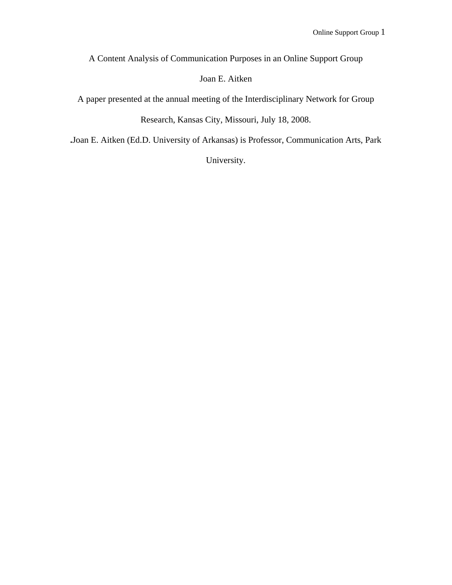A Content Analysis of Communication Purposes in an Online Support Group

# Joan E. Aitken

A paper presented at the annual meeting of the Interdisciplinary Network for Group

Research, Kansas City, Missouri, July 18, 2008.

**.**Joan E. Aitken (Ed.D. University of Arkansas) is Professor, Communication Arts, Park

University.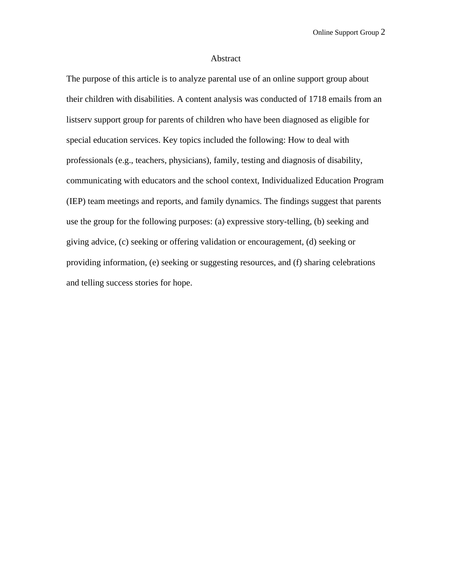### Abstract

The purpose of this article is to analyze parental use of an online support group about their children with disabilities. A content analysis was conducted of 1718 emails from an listserv support group for parents of children who have been diagnosed as eligible for special education services. Key topics included the following: How to deal with professionals (e.g., teachers, physicians), family, testing and diagnosis of disability, communicating with educators and the school context, Individualized Education Program (IEP) team meetings and reports, and family dynamics. The findings suggest that parents use the group for the following purposes: (a) expressive story-telling, (b) seeking and giving advice, (c) seeking or offering validation or encouragement, (d) seeking or providing information, (e) seeking or suggesting resources, and (f) sharing celebrations and telling success stories for hope.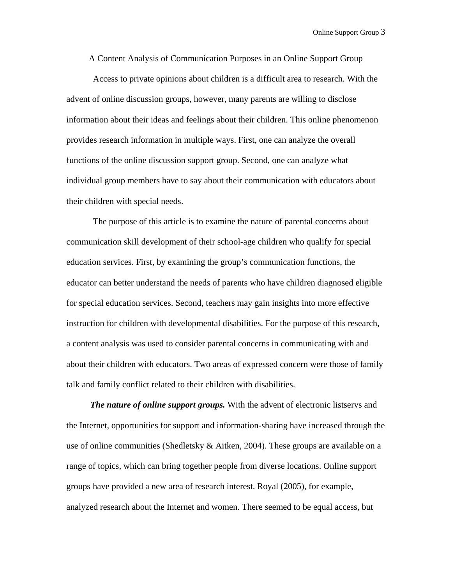A Content Analysis of Communication Purposes in an Online Support Group

Access to private opinions about children is a difficult area to research. With the advent of online discussion groups, however, many parents are willing to disclose information about their ideas and feelings about their children. This online phenomenon provides research information in multiple ways. First, one can analyze the overall functions of the online discussion support group. Second, one can analyze what individual group members have to say about their communication with educators about their children with special needs.

The purpose of this article is to examine the nature of parental concerns about communication skill development of their school-age children who qualify for special education services. First, by examining the group's communication functions, the educator can better understand the needs of parents who have children diagnosed eligible for special education services. Second, teachers may gain insights into more effective instruction for children with developmental disabilities. For the purpose of this research, a content analysis was used to consider parental concerns in communicating with and about their children with educators. Two areas of expressed concern were those of family talk and family conflict related to their children with disabilities.

*The nature of online support groups.* With the advent of electronic listservs and the Internet, opportunities for support and information-sharing have increased through the use of online communities (Shedletsky  $\&$  Aitken, 2004). These groups are available on a range of topics, which can bring together people from diverse locations. Online support groups have provided a new area of research interest. Royal (2005), for example, analyzed research about the Internet and women. There seemed to be equal access, but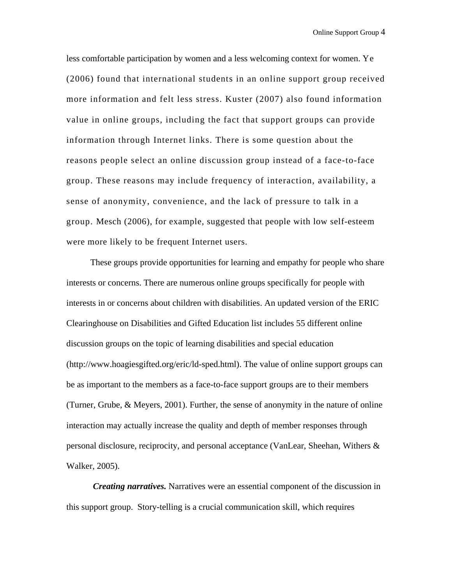less comfortable participation by women and a less welcoming context for women. Ye (2006) found that international students in an online support group received more information and felt less stress. Kuster (2007) also found information value in online groups, including the fact that support groups can provide information through Internet links. There is some question about the reasons people select an online discussion group instead of a face-to-face group. These reasons may include frequency of interaction, availability, a sense of anonymity, convenience, and the lack of pressure to talk in a group. Mesch (2006), for example, suggested that people with low self-esteem were more likely to be frequent Internet users.

These groups provide opportunities for learning and empathy for people who share interests or concerns. There are numerous online groups specifically for people with interests in or concerns about children with disabilities. An updated version of the ERIC Clearinghouse on Disabilities and Gifted Education list includes 55 different online discussion groups on the topic of learning disabilities and special education (http://www.hoagiesgifted.org/eric/ld-sped.html). The value of online support groups can be as important to the members as a face-to-face support groups are to their members (Turner, Grube, & Meyers, 2001). Further, the sense of anonymity in the nature of online interaction may actually increase the quality and depth of member responses through personal disclosure, reciprocity, and personal acceptance (VanLear, Sheehan, Withers & Walker, 2005).

*Creating narratives.* Narratives were an essential component of the discussion in this support group.Story-telling is a crucial communication skill, which requires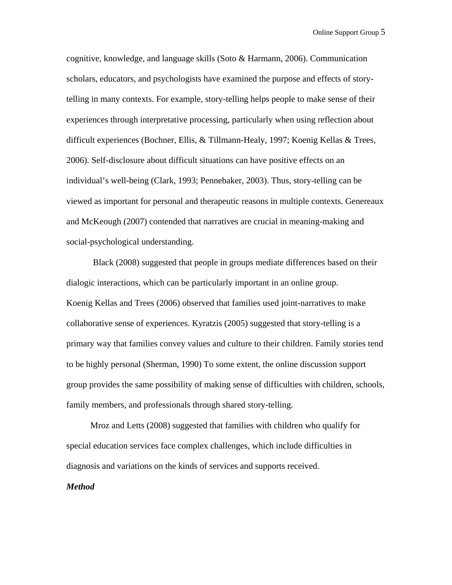cognitive, knowledge, and language skills (Soto & Harmann, 2006). Communication scholars, educators, and psychologists have examined the purpose and effects of storytelling in many contexts. For example, story-telling helps people to make sense of their experiences through interpretative processing, particularly when using reflection about difficult experiences (Bochner, Ellis, & Tillmann-Healy, 1997; Koenig Kellas & Trees, 2006). Self-disclosure about difficult situations can have positive effects on an individual's well-being (Clark, 1993; Pennebaker, 2003). Thus, story-telling can be viewed as important for personal and therapeutic reasons in multiple contexts. Genereaux and McKeough (2007) contended that narratives are crucial in meaning-making and social-psychological understanding.

Black (2008) suggested that people in groups mediate differences based on their dialogic interactions, which can be particularly important in an online group. Koenig Kellas and Trees (2006) observed that families used joint-narratives to make collaborative sense of experiences. Kyratzis (2005) suggested that story-telling is a primary way that families convey values and culture to their children. Family stories tend to be highly personal (Sherman, 1990) To some extent, the online discussion support group provides the same possibility of making sense of difficulties with children, schools, family members, and professionals through shared story-telling.

Mroz and Letts (2008) suggested that families with children who qualify for special education services face complex challenges, which include difficulties in diagnosis and variations on the kinds of services and supports received.

## *Method*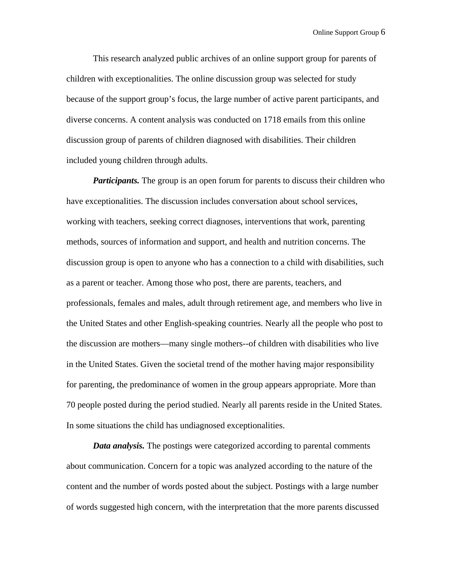This research analyzed public archives of an online support group for parents of children with exceptionalities. The online discussion group was selected for study because of the support group's focus, the large number of active parent participants, and diverse concerns. A content analysis was conducted on 1718 emails from this online discussion group of parents of children diagnosed with disabilities. Their children included young children through adults.

*Participants.* The group is an open forum for parents to discuss their children who have exceptionalities. The discussion includes conversation about school services, working with teachers, seeking correct diagnoses, interventions that work, parenting methods, sources of information and support, and health and nutrition concerns. The discussion group is open to anyone who has a connection to a child with disabilities, such as a parent or teacher. Among those who post, there are parents, teachers, and professionals, females and males, adult through retirement age, and members who live in the United States and other English-speaking countries. Nearly all the people who post to the discussion are mothers—many single mothers--of children with disabilities who live in the United States. Given the societal trend of the mother having major responsibility for parenting, the predominance of women in the group appears appropriate. More than 70 people posted during the period studied. Nearly all parents reside in the United States. In some situations the child has undiagnosed exceptionalities.

*Data analysis.* The postings were categorized according to parental comments about communication. Concern for a topic was analyzed according to the nature of the content and the number of words posted about the subject. Postings with a large number of words suggested high concern, with the interpretation that the more parents discussed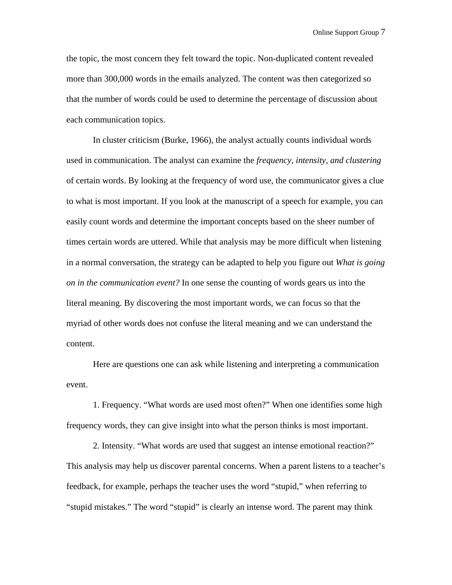the topic, the most concern they felt toward the topic. Non-duplicated content revealed more than 300,000 words in the emails analyzed. The content was then categorized so that the number of words could be used to determine the percentage of discussion about each communication topics.

In cluster criticism (Burke, 1966), the analyst actually counts individual words used in communication. The analyst can examine the *frequency, intensity, and clustering* of certain words. By looking at the frequency of word use, the communicator gives a clue to what is most important. If you look at the manuscript of a speech for example, you can easily count words and determine the important concepts based on the sheer number of times certain words are uttered. While that analysis may be more difficult when listening in a normal conversation, the strategy can be adapted to help you figure out *What is going on in the communication event?* In one sense the counting of words gears us into the literal meaning. By discovering the most important words, we can focus so that the myriad of other words does not confuse the literal meaning and we can understand the content.

Here are questions one can ask while listening and interpreting a communication event.

1. Frequency. "What words are used most often?" When one identifies some high frequency words, they can give insight into what the person thinks is most important.

2. Intensity. "What words are used that suggest an intense emotional reaction?" This analysis may help us discover parental concerns. When a parent listens to a teacher's feedback, for example, perhaps the teacher uses the word "stupid," when referring to "stupid mistakes." The word "stupid" is clearly an intense word. The parent may think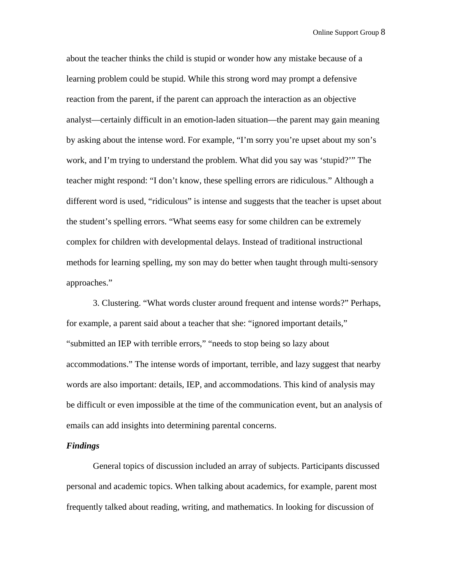about the teacher thinks the child is stupid or wonder how any mistake because of a learning problem could be stupid. While this strong word may prompt a defensive reaction from the parent, if the parent can approach the interaction as an objective analyst—certainly difficult in an emotion-laden situation—the parent may gain meaning by asking about the intense word. For example, "I'm sorry you're upset about my son's work, and I'm trying to understand the problem. What did you say was 'stupid?'" The teacher might respond: "I don't know, these spelling errors are ridiculous." Although a different word is used, "ridiculous" is intense and suggests that the teacher is upset about the student's spelling errors. "What seems easy for some children can be extremely complex for children with developmental delays. Instead of traditional instructional methods for learning spelling, my son may do better when taught through multi-sensory approaches."

3. Clustering. "What words cluster around frequent and intense words?" Perhaps, for example, a parent said about a teacher that she: "ignored important details," "submitted an IEP with terrible errors," "needs to stop being so lazy about accommodations." The intense words of important, terrible, and lazy suggest that nearby words are also important: details, IEP, and accommodations. This kind of analysis may be difficult or even impossible at the time of the communication event, but an analysis of emails can add insights into determining parental concerns.

# *Findings*

General topics of discussion included an array of subjects. Participants discussed personal and academic topics. When talking about academics, for example, parent most frequently talked about reading, writing, and mathematics. In looking for discussion of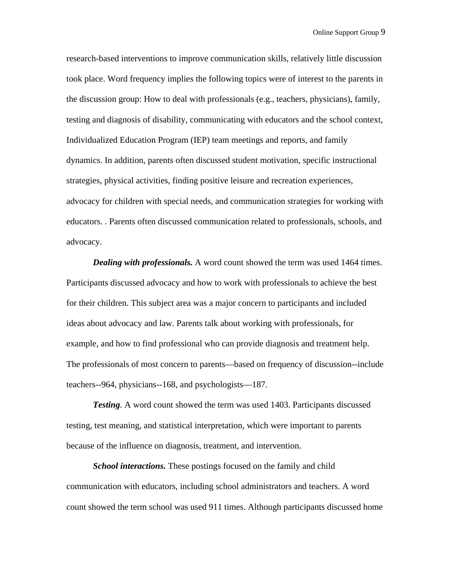research-based interventions to improve communication skills, relatively little discussion took place. Word frequency implies the following topics were of interest to the parents in the discussion group: How to deal with professionals (e.g., teachers, physicians), family, testing and diagnosis of disability, communicating with educators and the school context, Individualized Education Program (IEP) team meetings and reports, and family dynamics. In addition, parents often discussed student motivation, specific instructional strategies, physical activities, finding positive leisure and recreation experiences, advocacy for children with special needs, and communication strategies for working with educators. . Parents often discussed communication related to professionals, schools, and advocacy.

*Dealing with professionals.* A word count showed the term was used 1464 times. Participants discussed advocacy and how to work with professionals to achieve the best for their children. This subject area was a major concern to participants and included ideas about advocacy and law. Parents talk about working with professionals, for example, and how to find professional who can provide diagnosis and treatment help. The professionals of most concern to parents—based on frequency of discussion--include teachers--964, physicians--168, and psychologists—187.

*Testing.* A word count showed the term was used 1403. Participants discussed testing, test meaning, and statistical interpretation, which were important to parents because of the influence on diagnosis, treatment, and intervention.

*School interactions.* These postings focused on the family and child communication with educators, including school administrators and teachers. A word count showed the term school was used 911 times. Although participants discussed home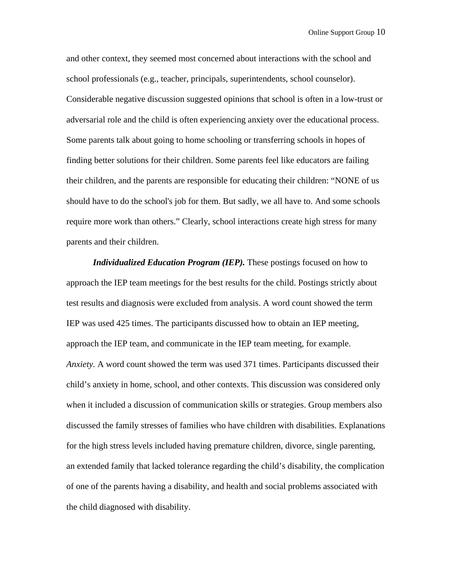and other context, they seemed most concerned about interactions with the school and school professionals (e.g., teacher, principals, superintendents, school counselor). Considerable negative discussion suggested opinions that school is often in a low-trust or adversarial role and the child is often experiencing anxiety over the educational process. Some parents talk about going to home schooling or transferring schools in hopes of finding better solutions for their children. Some parents feel like educators are failing their children, and the parents are responsible for educating their children: "NONE of us should have to do the school's job for them. But sadly, we all have to. And some schools require more work than others." Clearly, school interactions create high stress for many parents and their children.

 *Individualized Education Program (IEP).* These postings focused on how to approach the IEP team meetings for the best results for the child. Postings strictly about test results and diagnosis were excluded from analysis. A word count showed the term IEP was used 425 times. The participants discussed how to obtain an IEP meeting, approach the IEP team, and communicate in the IEP team meeting, for example. *Anxiety.* A word count showed the term was used 371 times. Participants discussed their child's anxiety in home, school, and other contexts. This discussion was considered only when it included a discussion of communication skills or strategies. Group members also discussed the family stresses of families who have children with disabilities. Explanations for the high stress levels included having premature children, divorce, single parenting, an extended family that lacked tolerance regarding the child's disability, the complication of one of the parents having a disability, and health and social problems associated with the child diagnosed with disability.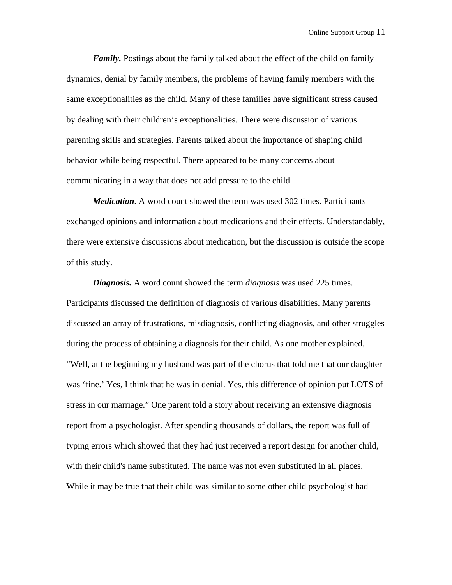*Family.* Postings about the family talked about the effect of the child on family dynamics, denial by family members, the problems of having family members with the same exceptionalities as the child. Many of these families have significant stress caused by dealing with their children's exceptionalities. There were discussion of various parenting skills and strategies. Parents talked about the importance of shaping child behavior while being respectful. There appeared to be many concerns about communicating in a way that does not add pressure to the child.

*Medication.* A word count showed the term was used 302 times. Participants exchanged opinions and information about medications and their effects. Understandably, there were extensive discussions about medication, but the discussion is outside the scope of this study.

*Diagnosis.* A word count showed the term *diagnosis* was used 225 times. Participants discussed the definition of diagnosis of various disabilities. Many parents discussed an array of frustrations, misdiagnosis, conflicting diagnosis, and other struggles during the process of obtaining a diagnosis for their child. As one mother explained, "Well, at the beginning my husband was part of the chorus that told me that our daughter was 'fine.' Yes, I think that he was in denial. Yes, this difference of opinion put LOTS of stress in our marriage." One parent told a story about receiving an extensive diagnosis report from a psychologist. After spending thousands of dollars, the report was full of typing errors which showed that they had just received a report design for another child, with their child's name substituted. The name was not even substituted in all places. While it may be true that their child was similar to some other child psychologist had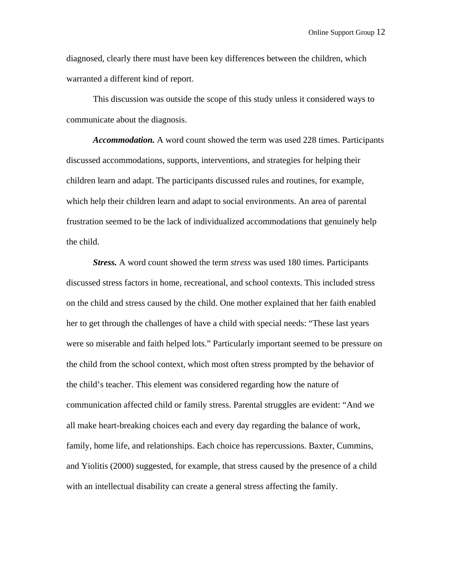diagnosed, clearly there must have been key differences between the children, which warranted a different kind of report.

This discussion was outside the scope of this study unless it considered ways to communicate about the diagnosis.

*Accommodation.* A word count showed the term was used 228 times. Participants discussed accommodations, supports, interventions, and strategies for helping their children learn and adapt. The participants discussed rules and routines, for example, which help their children learn and adapt to social environments. An area of parental frustration seemed to be the lack of individualized accommodations that genuinely help the child.

*Stress.* A word count showed the term *stress* was used 180 times. Participants discussed stress factors in home, recreational, and school contexts. This included stress on the child and stress caused by the child. One mother explained that her faith enabled her to get through the challenges of have a child with special needs: "These last years were so miserable and faith helped lots." Particularly important seemed to be pressure on the child from the school context, which most often stress prompted by the behavior of the child's teacher. This element was considered regarding how the nature of communication affected child or family stress. Parental struggles are evident: "And we all make heart-breaking choices each and every day regarding the balance of work, family, home life, and relationships. Each choice has repercussions. Baxter, Cummins, and Yiolitis (2000) suggested, for example, that stress caused by the presence of a child with an intellectual disability can create a general stress affecting the family.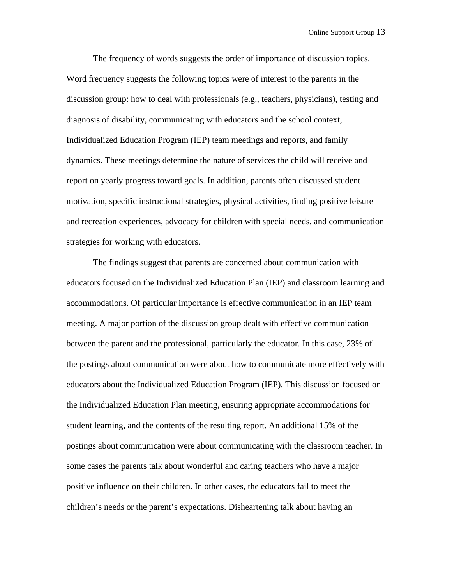The frequency of words suggests the order of importance of discussion topics. Word frequency suggests the following topics were of interest to the parents in the discussion group: how to deal with professionals (e.g., teachers, physicians), testing and diagnosis of disability, communicating with educators and the school context, Individualized Education Program (IEP) team meetings and reports, and family dynamics. These meetings determine the nature of services the child will receive and report on yearly progress toward goals. In addition, parents often discussed student motivation, specific instructional strategies, physical activities, finding positive leisure and recreation experiences, advocacy for children with special needs, and communication strategies for working with educators.

The findings suggest that parents are concerned about communication with educators focused on the Individualized Education Plan (IEP) and classroom learning and accommodations. Of particular importance is effective communication in an IEP team meeting. A major portion of the discussion group dealt with effective communication between the parent and the professional, particularly the educator. In this case, 23% of the postings about communication were about how to communicate more effectively with educators about the Individualized Education Program (IEP). This discussion focused on the Individualized Education Plan meeting, ensuring appropriate accommodations for student learning, and the contents of the resulting report. An additional 15% of the postings about communication were about communicating with the classroom teacher. In some cases the parents talk about wonderful and caring teachers who have a major positive influence on their children. In other cases, the educators fail to meet the children's needs or the parent's expectations. Disheartening talk about having an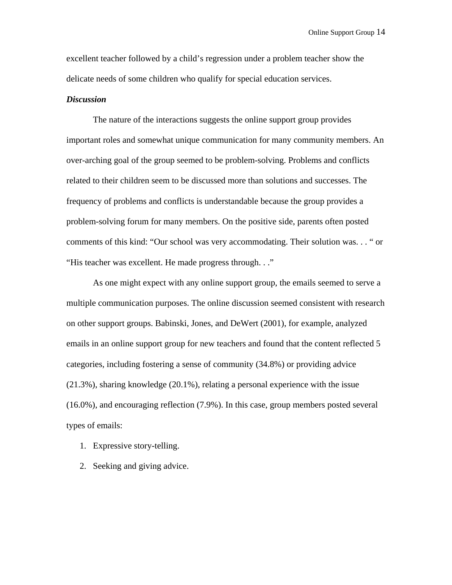excellent teacher followed by a child's regression under a problem teacher show the delicate needs of some children who qualify for special education services.

### *Discussion*

 The nature of the interactions suggests the online support group provides important roles and somewhat unique communication for many community members. An over-arching goal of the group seemed to be problem-solving. Problems and conflicts related to their children seem to be discussed more than solutions and successes. The frequency of problems and conflicts is understandable because the group provides a problem-solving forum for many members. On the positive side, parents often posted comments of this kind: "Our school was very accommodating. Their solution was. . . " or "His teacher was excellent. He made progress through. . ."

 As one might expect with any online support group, the emails seemed to serve a multiple communication purposes. The online discussion seemed consistent with research on other support groups. Babinski, Jones, and DeWert (2001), for example, analyzed emails in an online support group for new teachers and found that the content reflected 5 categories, including fostering a sense of community (34.8%) or providing advice (21.3%), sharing knowledge (20.1%), relating a personal experience with the issue (16.0%), and encouraging reflection (7.9%). In this case, group members posted several types of emails:

- 1. Expressive story-telling.
- 2. Seeking and giving advice.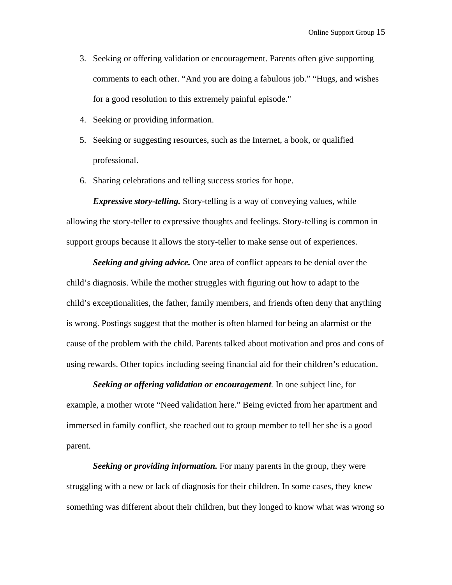- 3. Seeking or offering validation or encouragement. Parents often give supporting comments to each other. "And you are doing a fabulous job." "Hugs, and wishes for a good resolution to this extremely painful episode."
- 4. Seeking or providing information.
- 5. Seeking or suggesting resources, such as the Internet, a book, or qualified professional.
- 6. Sharing celebrations and telling success stories for hope.

*Expressive story-telling.* Story-telling is a way of conveying values, while allowing the story-teller to expressive thoughts and feelings. Story-telling is common in support groups because it allows the story-teller to make sense out of experiences.

*Seeking and giving advice.* One area of conflict appears to be denial over the child's diagnosis. While the mother struggles with figuring out how to adapt to the child's exceptionalities, the father, family members, and friends often deny that anything is wrong. Postings suggest that the mother is often blamed for being an alarmist or the cause of the problem with the child. Parents talked about motivation and pros and cons of using rewards. Other topics including seeing financial aid for their children's education.

*Seeking or offering validation or encouragement.* In one subject line, for example, a mother wrote "Need validation here." Being evicted from her apartment and immersed in family conflict, she reached out to group member to tell her she is a good parent.

*Seeking or providing information.* For many parents in the group, they were struggling with a new or lack of diagnosis for their children. In some cases, they knew something was different about their children, but they longed to know what was wrong so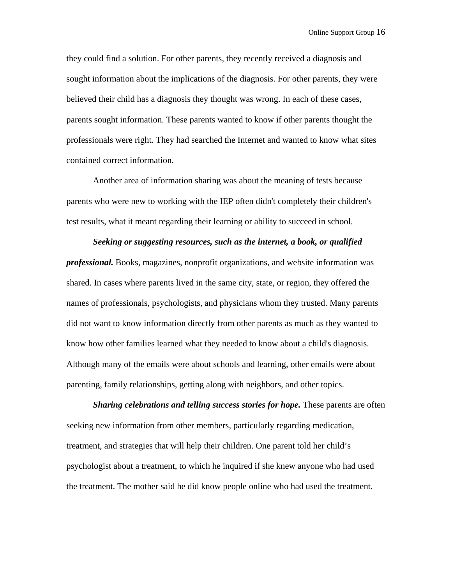they could find a solution. For other parents, they recently received a diagnosis and sought information about the implications of the diagnosis. For other parents, they were believed their child has a diagnosis they thought was wrong. In each of these cases, parents sought information. These parents wanted to know if other parents thought the professionals were right. They had searched the Internet and wanted to know what sites contained correct information.

 Another area of information sharing was about the meaning of tests because parents who were new to working with the IEP often didn't completely their children's test results, what it meant regarding their learning or ability to succeed in school.

# *Seeking or suggesting resources, such as the internet, a book, or qualified professional.* Books, magazines, nonprofit organizations, and website information was shared. In cases where parents lived in the same city, state, or region, they offered the names of professionals, psychologists, and physicians whom they trusted. Many parents did not want to know information directly from other parents as much as they wanted to know how other families learned what they needed to know about a child's diagnosis. Although many of the emails were about schools and learning, other emails were about parenting, family relationships, getting along with neighbors, and other topics.

*Sharing celebrations and telling success stories for hope.* These parents are often seeking new information from other members, particularly regarding medication, treatment, and strategies that will help their children. One parent told her child's psychologist about a treatment, to which he inquired if she knew anyone who had used the treatment. The mother said he did know people online who had used the treatment.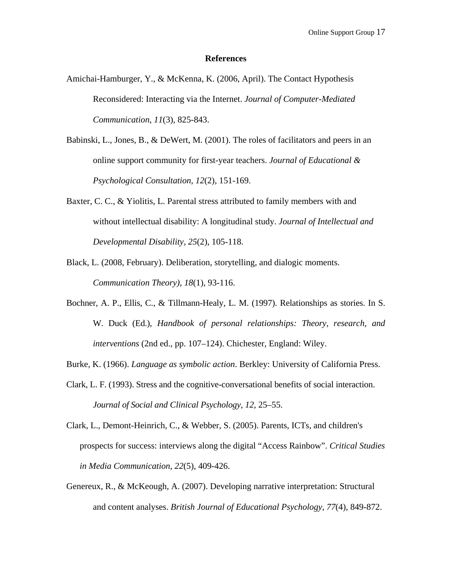#### **References**

- Amichai-Hamburger, Y., & McKenna, K. (2006, April). The Contact Hypothesis Reconsidered: Interacting via the Internet. *Journal of Computer-Mediated Communication*, *11*(3), 825-843.
- Babinski, L., Jones, B., & DeWert, M. (2001). The roles of facilitators and peers in an online support community for first-year teachers. *Journal of Educational & Psychological Consultation*, *12*(2), 151-169.
- Baxter, C. C., & Yiolitis, L. Parental stress attributed to family members with and without intellectual disability: A longitudinal study. *Journal of Intellectual and Developmental Disability, 25*(2), 105-118.
- Black, L. (2008, February). Deliberation, storytelling, and dialogic moments. *Communication Theory)*, *18*(1), 93-116.
- Bochner, A. P., Ellis, C., & Tillmann-Healy, L. M. (1997). Relationships as stories. In S. W. Duck (Ed.), *Handbook of personal relationships: Theory, research, and interventions* (2nd ed., pp. 107–124). Chichester, England: Wiley.
- Burke, K. (1966). *Language as symbolic action*. Berkley: University of California Press.
- Clark, L. F. (1993). Stress and the cognitive-conversational benefits of social interaction. *Journal of Social and Clinical Psychology, 12,* 25–55.
- Clark, L., Demont-Heinrich, C., & Webber, S. (2005). Parents, ICTs, and children's prospects for success: interviews along the digital "Access Rainbow". *Critical Studies in Media Communication*, *22*(5), 409-426.
- Genereux, R., & McKeough, A. (2007). Developing narrative interpretation: Structural and content analyses. *British Journal of Educational Psychology*, *77*(4), 849-872.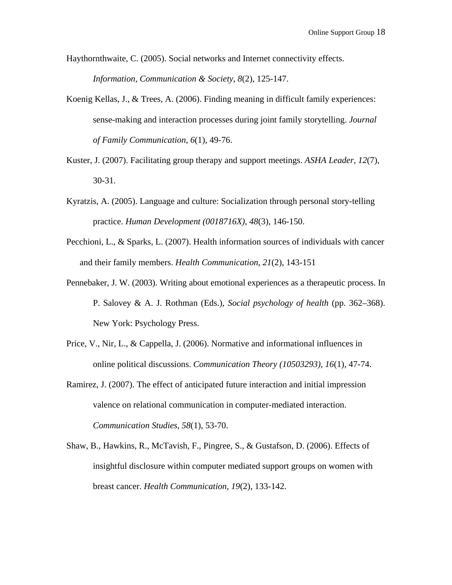Haythornthwaite, C. (2005). Social networks and Internet connectivity effects. *Information, Communication & Society*, *8*(2), 125-147.

- Koenig Kellas, J., & Trees, A. (2006). Finding meaning in difficult family experiences: sense-making and interaction processes during joint family storytelling. *Journal of Family Communication*, *6*(1), 49-76.
- Kuster, J. (2007). Facilitating group therapy and support meetings. *ASHA Leader*, *12*(7), 30-31.
- Kyratzis, A. (2005). Language and culture: Socialization through personal story-telling practice. *Human Development (0018716X)*, *48*(3), 146-150.
- Pecchioni, L., & Sparks, L. (2007). Health information sources of individuals with cancer and their family members. *Health Communication*, *21*(2), 143-151
- Pennebaker, J. W. (2003). Writing about emotional experiences as a therapeutic process. In P. Salovey & A. J. Rothman (Eds.), *Social psychology of health* (pp. 362–368). New York: Psychology Press.
- Price, V., Nir, L., & Cappella, J. (2006). Normative and informational influences in online political discussions. *Communication Theory (10503293)*, *16*(1), 47-74.
- Ramirez, J. (2007). The effect of anticipated future interaction and initial impression valence on relational communication in computer-mediated interaction. *Communication Studies*, *58*(1), 53-70.
- Shaw, B., Hawkins, R., McTavish, F., Pingree, S., & Gustafson, D. (2006). Effects of insightful disclosure within computer mediated support groups on women with breast cancer. *Health Communication*, *19*(2), 133-142.